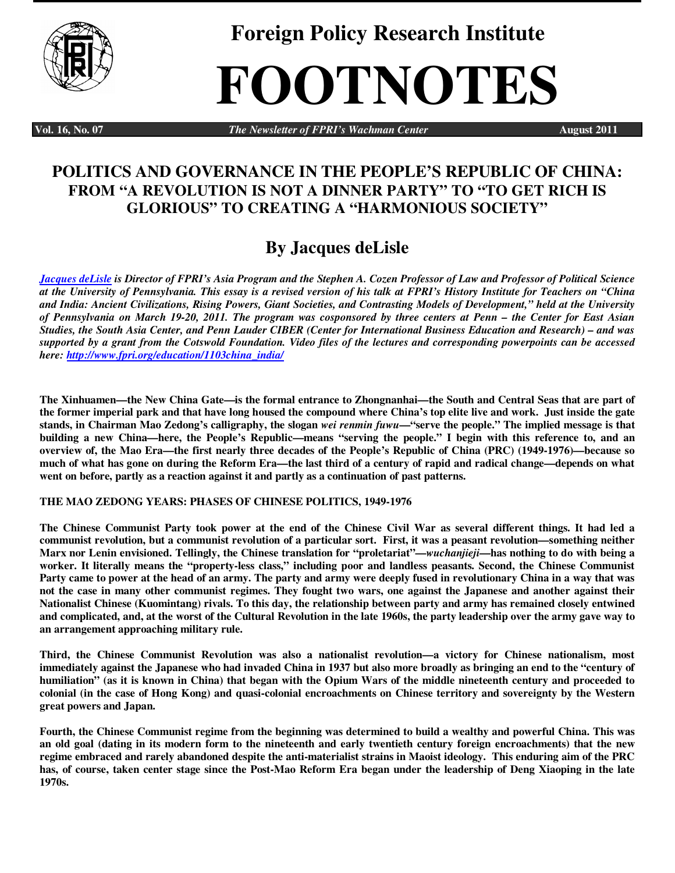

**Foreign Policy Research Institute** 

# **FOOTNOTES**

**Vol. 16, No. 07** *The Newsletter of FPRI's Wachman Center* **August 2011** 

### **POLITICS AND GOVERNANCE IN THE PEOPLE'S REPUBLIC OF CHINA: FROM "A REVOLUTION IS NOT A DINNER PARTY" TO "TO GET RICH IS GLORIOUS" TO CREATING A "HARMONIOUS SOCIETY"**

## **By Jacques deLisle**

*Jacques deLisle is Director of FPRI's Asia Program and the Stephen A. Cozen Professor of Law and Professor of Political Science at the University of Pennsylvania. This essay is a revised version of his talk at FPRI's History Institute for Teachers on "China and India: Ancient Civilizations, Rising Powers, Giant Societies, and Contrasting Models of Development," held at the University of Pennsylvania on March 19-20, 2011. The program was cosponsored by three centers at Penn – the Center for East Asian Studies, the South Asia Center, and Penn Lauder CIBER (Center for International Business Education and Research) – and was supported by a grant from the Cotswold Foundation. Video files of the lectures and corresponding powerpoints can be accessed here: http://www.fpri.org/education/1103china\_india/* 

**The Xinhuamen—the New China Gate—is the formal entrance to Zhongnanhai—the South and Central Seas that are part of the former imperial park and that have long housed the compound where China's top elite live and work. Just inside the gate stands, in Chairman Mao Zedong's calligraphy, the slogan** *wei renmin fuwu***—"serve the people." The implied message is that building a new China—here, the People's Republic—means "serving the people." I begin with this reference to, and an overview of, the Mao Era—the first nearly three decades of the People's Republic of China (PRC) (1949-1976)—because so much of what has gone on during the Reform Era—the last third of a century of rapid and radical change—depends on what went on before, partly as a reaction against it and partly as a continuation of past patterns.** 

#### **THE MAO ZEDONG YEARS: PHASES OF CHINESE POLITICS, 1949-1976**

**The Chinese Communist Party took power at the end of the Chinese Civil War as several different things. It had led a communist revolution, but a communist revolution of a particular sort. First, it was a peasant revolution—something neither Marx nor Lenin envisioned. Tellingly, the Chinese translation for "proletariat"—***wuchanjieji***—has nothing to do with being a worker. It literally means the "property-less class," including poor and landless peasants. Second, the Chinese Communist Party came to power at the head of an army. The party and army were deeply fused in revolutionary China in a way that was not the case in many other communist regimes. They fought two wars, one against the Japanese and another against their Nationalist Chinese (Kuomintang) rivals. To this day, the relationship between party and army has remained closely entwined and complicated, and, at the worst of the Cultural Revolution in the late 1960s, the party leadership over the army gave way to an arrangement approaching military rule.** 

**Third, the Chinese Communist Revolution was also a nationalist revolution—a victory for Chinese nationalism, most immediately against the Japanese who had invaded China in 1937 but also more broadly as bringing an end to the "century of humiliation" (as it is known in China) that began with the Opium Wars of the middle nineteenth century and proceeded to colonial (in the case of Hong Kong) and quasi-colonial encroachments on Chinese territory and sovereignty by the Western great powers and Japan.** 

**Fourth, the Chinese Communist regime from the beginning was determined to build a wealthy and powerful China. This was an old goal (dating in its modern form to the nineteenth and early twentieth century foreign encroachments) that the new regime embraced and rarely abandoned despite the anti-materialist strains in Maoist ideology. This enduring aim of the PRC has, of course, taken center stage since the Post-Mao Reform Era began under the leadership of Deng Xiaoping in the late 1970s.**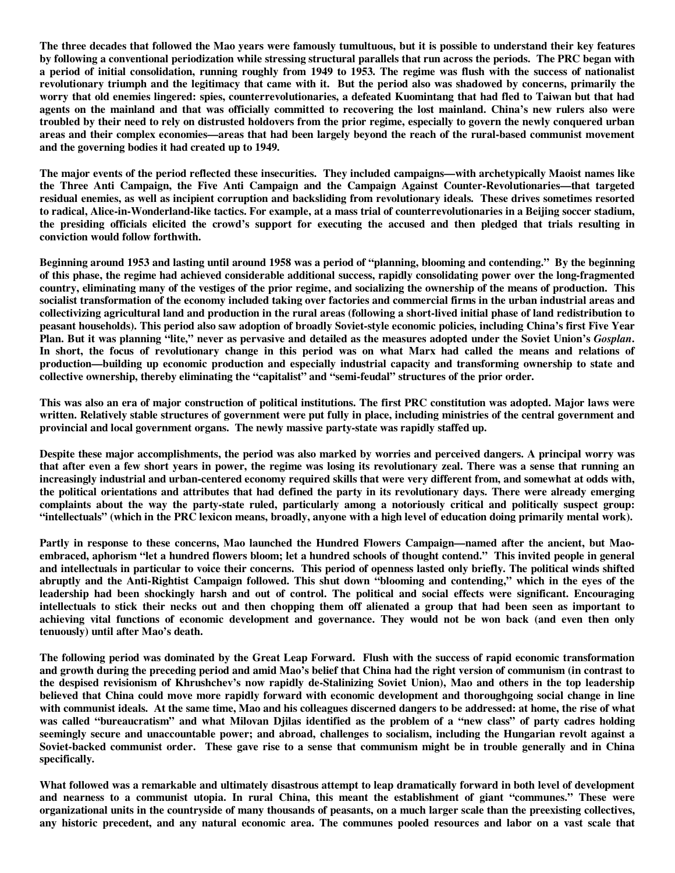**The three decades that followed the Mao years were famously tumultuous, but it is possible to understand their key features by following a conventional periodization while stressing structural parallels that run across the periods. The PRC began with a period of initial consolidation, running roughly from 1949 to 1953. The regime was flush with the success of nationalist revolutionary triumph and the legitimacy that came with it. But the period also was shadowed by concerns, primarily the worry that old enemies lingered: spies, counterrevolutionaries, a defeated Kuomintang that had fled to Taiwan but that had agents on the mainland and that was officially committed to recovering the lost mainland. China's new rulers also were troubled by their need to rely on distrusted holdovers from the prior regime, especially to govern the newly conquered urban areas and their complex economies—areas that had been largely beyond the reach of the rural-based communist movement and the governing bodies it had created up to 1949.** 

**The major events of the period reflected these insecurities. They included campaigns—with archetypically Maoist names like the Three Anti Campaign, the Five Anti Campaign and the Campaign Against Counter-Revolutionaries—that targeted residual enemies, as well as incipient corruption and backsliding from revolutionary ideals. These drives sometimes resorted to radical, Alice-in-Wonderland-like tactics. For example, at a mass trial of counterrevolutionaries in a Beijing soccer stadium, the presiding officials elicited the crowd's support for executing the accused and then pledged that trials resulting in conviction would follow forthwith.** 

**Beginning around 1953 and lasting until around 1958 was a period of "planning, blooming and contending." By the beginning of this phase, the regime had achieved considerable additional success, rapidly consolidating power over the long-fragmented country, eliminating many of the vestiges of the prior regime, and socializing the ownership of the means of production. This socialist transformation of the economy included taking over factories and commercial firms in the urban industrial areas and collectivizing agricultural land and production in the rural areas (following a short-lived initial phase of land redistribution to peasant households). This period also saw adoption of broadly Soviet-style economic policies, including China's first Five Year**  Plan. But it was planning "lite," never as pervasive and detailed as the measures adopted under the Soviet Union's *Gosplan*. **In short, the focus of revolutionary change in this period was on what Marx had called the means and relations of production—building up economic production and especially industrial capacity and transforming ownership to state and collective ownership, thereby eliminating the "capitalist" and "semi-feudal" structures of the prior order.** 

**This was also an era of major construction of political institutions. The first PRC constitution was adopted. Major laws were written. Relatively stable structures of government were put fully in place, including ministries of the central government and provincial and local government organs. The newly massive party-state was rapidly staffed up.** 

**Despite these major accomplishments, the period was also marked by worries and perceived dangers. A principal worry was that after even a few short years in power, the regime was losing its revolutionary zeal. There was a sense that running an increasingly industrial and urban-centered economy required skills that were very different from, and somewhat at odds with, the political orientations and attributes that had defined the party in its revolutionary days. There were already emerging complaints about the way the party-state ruled, particularly among a notoriously critical and politically suspect group: "intellectuals" (which in the PRC lexicon means, broadly, anyone with a high level of education doing primarily mental work).** 

**Partly in response to these concerns, Mao launched the Hundred Flowers Campaign—named after the ancient, but Maoembraced, aphorism "let a hundred flowers bloom; let a hundred schools of thought contend." This invited people in general and intellectuals in particular to voice their concerns. This period of openness lasted only briefly. The political winds shifted abruptly and the Anti-Rightist Campaign followed. This shut down "blooming and contending," which in the eyes of the leadership had been shockingly harsh and out of control. The political and social effects were significant. Encouraging intellectuals to stick their necks out and then chopping them off alienated a group that had been seen as important to achieving vital functions of economic development and governance. They would not be won back (and even then only tenuously) until after Mao's death.** 

**The following period was dominated by the Great Leap Forward. Flush with the success of rapid economic transformation and growth during the preceding period and amid Mao's belief that China had the right version of communism (in contrast to the despised revisionism of Khrushchev's now rapidly de-Stalinizing Soviet Union), Mao and others in the top leadership believed that China could move more rapidly forward with economic development and thoroughgoing social change in line with communist ideals. At the same time, Mao and his colleagues discerned dangers to be addressed: at home, the rise of what was called "bureaucratism" and what Milovan Djilas identified as the problem of a "new class" of party cadres holding seemingly secure and unaccountable power; and abroad, challenges to socialism, including the Hungarian revolt against a Soviet-backed communist order. These gave rise to a sense that communism might be in trouble generally and in China specifically.** 

**What followed was a remarkable and ultimately disastrous attempt to leap dramatically forward in both level of development and nearness to a communist utopia. In rural China, this meant the establishment of giant "communes." These were organizational units in the countryside of many thousands of peasants, on a much larger scale than the preexisting collectives, any historic precedent, and any natural economic area. The communes pooled resources and labor on a vast scale that**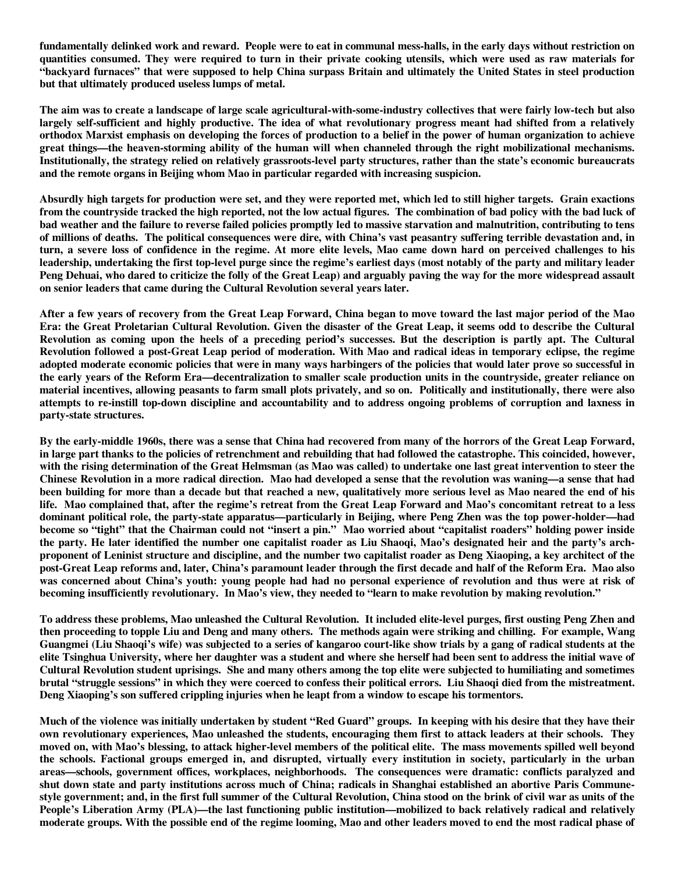**fundamentally delinked work and reward. People were to eat in communal mess-halls, in the early days without restriction on quantities consumed. They were required to turn in their private cooking utensils, which were used as raw materials for "backyard furnaces" that were supposed to help China surpass Britain and ultimately the United States in steel production but that ultimately produced useless lumps of metal.** 

**The aim was to create a landscape of large scale agricultural-with-some-industry collectives that were fairly low-tech but also largely self-sufficient and highly productive. The idea of what revolutionary progress meant had shifted from a relatively orthodox Marxist emphasis on developing the forces of production to a belief in the power of human organization to achieve great things—the heaven-storming ability of the human will when channeled through the right mobilizational mechanisms. Institutionally, the strategy relied on relatively grassroots-level party structures, rather than the state's economic bureaucrats and the remote organs in Beijing whom Mao in particular regarded with increasing suspicion.** 

**Absurdly high targets for production were set, and they were reported met, which led to still higher targets. Grain exactions from the countryside tracked the high reported, not the low actual figures. The combination of bad policy with the bad luck of bad weather and the failure to reverse failed policies promptly led to massive starvation and malnutrition, contributing to tens of millions of deaths. The political consequences were dire, with China's vast peasantry suffering terrible devastation and, in turn, a severe loss of confidence in the regime. At more elite levels, Mao came down hard on perceived challenges to his leadership, undertaking the first top-level purge since the regime's earliest days (most notably of the party and military leader Peng Dehuai, who dared to criticize the folly of the Great Leap) and arguably paving the way for the more widespread assault on senior leaders that came during the Cultural Revolution several years later.** 

**After a few years of recovery from the Great Leap Forward, China began to move toward the last major period of the Mao Era: the Great Proletarian Cultural Revolution. Given the disaster of the Great Leap, it seems odd to describe the Cultural Revolution as coming upon the heels of a preceding period's successes. But the description is partly apt. The Cultural Revolution followed a post-Great Leap period of moderation. With Mao and radical ideas in temporary eclipse, the regime adopted moderate economic policies that were in many ways harbingers of the policies that would later prove so successful in the early years of the Reform Era—decentralization to smaller scale production units in the countryside, greater reliance on material incentives, allowing peasants to farm small plots privately, and so on. Politically and institutionally, there were also attempts to re-instill top-down discipline and accountability and to address ongoing problems of corruption and laxness in party-state structures.** 

**By the early-middle 1960s, there was a sense that China had recovered from many of the horrors of the Great Leap Forward, in large part thanks to the policies of retrenchment and rebuilding that had followed the catastrophe. This coincided, however, with the rising determination of the Great Helmsman (as Mao was called) to undertake one last great intervention to steer the Chinese Revolution in a more radical direction. Mao had developed a sense that the revolution was waning—a sense that had been building for more than a decade but that reached a new, qualitatively more serious level as Mao neared the end of his life. Mao complained that, after the regime's retreat from the Great Leap Forward and Mao's concomitant retreat to a less dominant political role, the party-state apparatus—particularly in Beijing, where Peng Zhen was the top power-holder—had become so "tight" that the Chairman could not "insert a pin." Mao worried about "capitalist roaders" holding power inside the party. He later identified the number one capitalist roader as Liu Shaoqi, Mao's designated heir and the party's archproponent of Leninist structure and discipline, and the number two capitalist roader as Deng Xiaoping, a key architect of the post-Great Leap reforms and, later, China's paramount leader through the first decade and half of the Reform Era. Mao also was concerned about China's youth: young people had had no personal experience of revolution and thus were at risk of becoming insufficiently revolutionary. In Mao's view, they needed to "learn to make revolution by making revolution."** 

**To address these problems, Mao unleashed the Cultural Revolution. It included elite-level purges, first ousting Peng Zhen and then proceeding to topple Liu and Deng and many others. The methods again were striking and chilling. For example, Wang Guangmei (Liu Shaoqi's wife) was subjected to a series of kangaroo court-like show trials by a gang of radical students at the elite Tsinghua University, where her daughter was a student and where she herself had been sent to address the initial wave of Cultural Revolution student uprisings. She and many others among the top elite were subjected to humiliating and sometimes brutal "struggle sessions" in which they were coerced to confess their political errors. Liu Shaoqi died from the mistreatment. Deng Xiaoping's son suffered crippling injuries when he leapt from a window to escape his tormentors.** 

**Much of the violence was initially undertaken by student "Red Guard" groups. In keeping with his desire that they have their own revolutionary experiences, Mao unleashed the students, encouraging them first to attack leaders at their schools. They moved on, with Mao's blessing, to attack higher-level members of the political elite. The mass movements spilled well beyond the schools. Factional groups emerged in, and disrupted, virtually every institution in society, particularly in the urban areas—schools, government offices, workplaces, neighborhoods. The consequences were dramatic: conflicts paralyzed and shut down state and party institutions across much of China; radicals in Shanghai established an abortive Paris Communestyle government; and, in the first full summer of the Cultural Revolution, China stood on the brink of civil war as units of the People's Liberation Army (PLA)—the last functioning public institution—mobilized to back relatively radical and relatively moderate groups. With the possible end of the regime looming, Mao and other leaders moved to end the most radical phase of**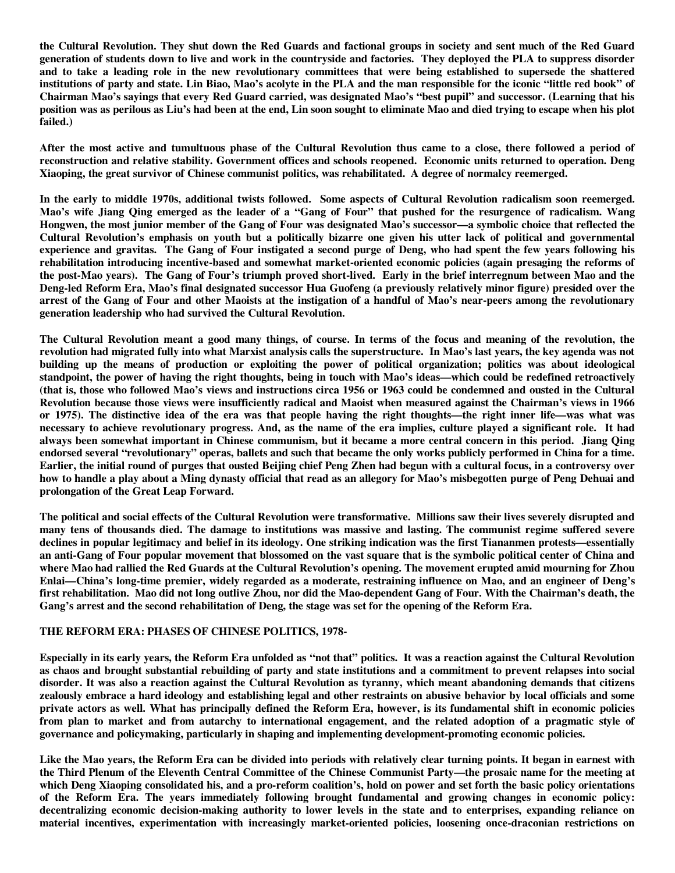**the Cultural Revolution. They shut down the Red Guards and factional groups in society and sent much of the Red Guard generation of students down to live and work in the countryside and factories. They deployed the PLA to suppress disorder and to take a leading role in the new revolutionary committees that were being established to supersede the shattered institutions of party and state. Lin Biao, Mao's acolyte in the PLA and the man responsible for the iconic "little red book" of Chairman Mao's sayings that every Red Guard carried, was designated Mao's "best pupil" and successor. (Learning that his position was as perilous as Liu's had been at the end, Lin soon sought to eliminate Mao and died trying to escape when his plot failed.)** 

**After the most active and tumultuous phase of the Cultural Revolution thus came to a close, there followed a period of reconstruction and relative stability. Government offices and schools reopened. Economic units returned to operation. Deng Xiaoping, the great survivor of Chinese communist politics, was rehabilitated. A degree of normalcy reemerged.** 

**In the early to middle 1970s, additional twists followed. Some aspects of Cultural Revolution radicalism soon reemerged. Mao's wife Jiang Qing emerged as the leader of a "Gang of Four" that pushed for the resurgence of radicalism. Wang Hongwen, the most junior member of the Gang of Four was designated Mao's successor—a symbolic choice that reflected the Cultural Revolution's emphasis on youth but a politically bizarre one given his utter lack of political and governmental experience and gravitas. The Gang of Four instigated a second purge of Deng, who had spent the few years following his rehabilitation introducing incentive-based and somewhat market-oriented economic policies (again presaging the reforms of the post-Mao years). The Gang of Four's triumph proved short-lived. Early in the brief interregnum between Mao and the Deng-led Reform Era, Mao's final designated successor Hua Guofeng (a previously relatively minor figure) presided over the arrest of the Gang of Four and other Maoists at the instigation of a handful of Mao's near-peers among the revolutionary generation leadership who had survived the Cultural Revolution.** 

**The Cultural Revolution meant a good many things, of course. In terms of the focus and meaning of the revolution, the revolution had migrated fully into what Marxist analysis calls the superstructure. In Mao's last years, the key agenda was not building up the means of production or exploiting the power of political organization; politics was about ideological standpoint, the power of having the right thoughts, being in touch with Mao's ideas—which could be redefined retroactively (that is, those who followed Mao's views and instructions circa 1956 or 1963 could be condemned and ousted in the Cultural Revolution because those views were insufficiently radical and Maoist when measured against the Chairman's views in 1966 or 1975). The distinctive idea of the era was that people having the right thoughts—the right inner life—was what was necessary to achieve revolutionary progress. And, as the name of the era implies, culture played a significant role. It had always been somewhat important in Chinese communism, but it became a more central concern in this period. Jiang Qing endorsed several "revolutionary" operas, ballets and such that became the only works publicly performed in China for a time. Earlier, the initial round of purges that ousted Beijing chief Peng Zhen had begun with a cultural focus, in a controversy over how to handle a play about a Ming dynasty official that read as an allegory for Mao's misbegotten purge of Peng Dehuai and prolongation of the Great Leap Forward.** 

**The political and social effects of the Cultural Revolution were transformative. Millions saw their lives severely disrupted and many tens of thousands died. The damage to institutions was massive and lasting. The communist regime suffered severe declines in popular legitimacy and belief in its ideology. One striking indication was the first Tiananmen protests—essentially an anti-Gang of Four popular movement that blossomed on the vast square that is the symbolic political center of China and where Mao had rallied the Red Guards at the Cultural Revolution's opening. The movement erupted amid mourning for Zhou Enlai—China's long-time premier, widely regarded as a moderate, restraining influence on Mao, and an engineer of Deng's first rehabilitation. Mao did not long outlive Zhou, nor did the Mao-dependent Gang of Four. With the Chairman's death, the Gang's arrest and the second rehabilitation of Deng, the stage was set for the opening of the Reform Era.** 

#### **THE REFORM ERA: PHASES OF CHINESE POLITICS, 1978-**

**Especially in its early years, the Reform Era unfolded as "not that" politics. It was a reaction against the Cultural Revolution as chaos and brought substantial rebuilding of party and state institutions and a commitment to prevent relapses into social disorder. It was also a reaction against the Cultural Revolution as tyranny, which meant abandoning demands that citizens zealously embrace a hard ideology and establishing legal and other restraints on abusive behavior by local officials and some private actors as well. What has principally defined the Reform Era, however, is its fundamental shift in economic policies from plan to market and from autarchy to international engagement, and the related adoption of a pragmatic style of governance and policymaking, particularly in shaping and implementing development-promoting economic policies.** 

**Like the Mao years, the Reform Era can be divided into periods with relatively clear turning points. It began in earnest with the Third Plenum of the Eleventh Central Committee of the Chinese Communist Party—the prosaic name for the meeting at which Deng Xiaoping consolidated his, and a pro-reform coalition's, hold on power and set forth the basic policy orientations of the Reform Era. The years immediately following brought fundamental and growing changes in economic policy: decentralizing economic decision-making authority to lower levels in the state and to enterprises, expanding reliance on material incentives, experimentation with increasingly market-oriented policies, loosening once-draconian restrictions on**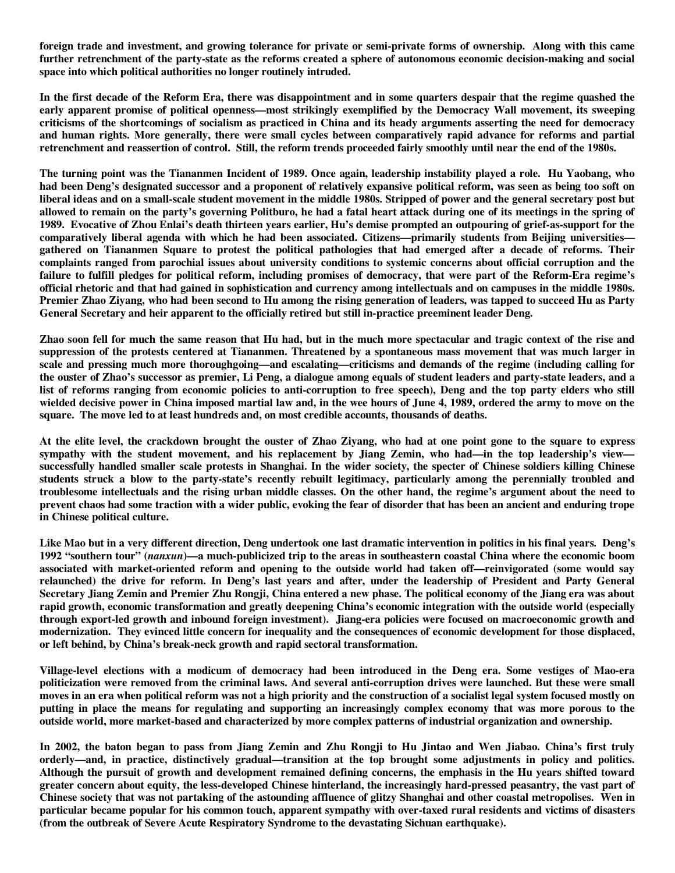**foreign trade and investment, and growing tolerance for private or semi-private forms of ownership. Along with this came further retrenchment of the party-state as the reforms created a sphere of autonomous economic decision-making and social space into which political authorities no longer routinely intruded.** 

**In the first decade of the Reform Era, there was disappointment and in some quarters despair that the regime quashed the early apparent promise of political openness—most strikingly exemplified by the Democracy Wall movement, its sweeping criticisms of the shortcomings of socialism as practiced in China and its heady arguments asserting the need for democracy and human rights. More generally, there were small cycles between comparatively rapid advance for reforms and partial retrenchment and reassertion of control. Still, the reform trends proceeded fairly smoothly until near the end of the 1980s.** 

**The turning point was the Tiananmen Incident of 1989. Once again, leadership instability played a role. Hu Yaobang, who had been Deng's designated successor and a proponent of relatively expansive political reform, was seen as being too soft on liberal ideas and on a small-scale student movement in the middle 1980s. Stripped of power and the general secretary post but allowed to remain on the party's governing Politburo, he had a fatal heart attack during one of its meetings in the spring of 1989. Evocative of Zhou Enlai's death thirteen years earlier, Hu's demise prompted an outpouring of grief-as-support for the comparatively liberal agenda with which he had been associated. Citizens—primarily students from Beijing universities gathered on Tiananmen Square to protest the political pathologies that had emerged after a decade of reforms. Their complaints ranged from parochial issues about university conditions to systemic concerns about official corruption and the failure to fulfill pledges for political reform, including promises of democracy, that were part of the Reform-Era regime's official rhetoric and that had gained in sophistication and currency among intellectuals and on campuses in the middle 1980s. Premier Zhao Ziyang, who had been second to Hu among the rising generation of leaders, was tapped to succeed Hu as Party General Secretary and heir apparent to the officially retired but still in-practice preeminent leader Deng.** 

**Zhao soon fell for much the same reason that Hu had, but in the much more spectacular and tragic context of the rise and suppression of the protests centered at Tiananmen. Threatened by a spontaneous mass movement that was much larger in scale and pressing much more thoroughgoing—and escalating—criticisms and demands of the regime (including calling for the ouster of Zhao's successor as premier, Li Peng, a dialogue among equals of student leaders and party-state leaders, and a list of reforms ranging from economic policies to anti-corruption to free speech), Deng and the top party elders who still wielded decisive power in China imposed martial law and, in the wee hours of June 4, 1989, ordered the army to move on the square. The move led to at least hundreds and, on most credible accounts, thousands of deaths.** 

**At the elite level, the crackdown brought the ouster of Zhao Ziyang, who had at one point gone to the square to express sympathy with the student movement, and his replacement by Jiang Zemin, who had—in the top leadership's view successfully handled smaller scale protests in Shanghai. In the wider society, the specter of Chinese soldiers killing Chinese students struck a blow to the party-state's recently rebuilt legitimacy, particularly among the perennially troubled and troublesome intellectuals and the rising urban middle classes. On the other hand, the regime's argument about the need to prevent chaos had some traction with a wider public, evoking the fear of disorder that has been an ancient and enduring trope in Chinese political culture.** 

**Like Mao but in a very different direction, Deng undertook one last dramatic intervention in politics in his final years. Deng's 1992 "southern tour" (***nanxun***)—a much-publicized trip to the areas in southeastern coastal China where the economic boom associated with market-oriented reform and opening to the outside world had taken off—reinvigorated (some would say relaunched) the drive for reform. In Deng's last years and after, under the leadership of President and Party General Secretary Jiang Zemin and Premier Zhu Rongji, China entered a new phase. The political economy of the Jiang era was about rapid growth, economic transformation and greatly deepening China's economic integration with the outside world (especially through export-led growth and inbound foreign investment). Jiang-era policies were focused on macroeconomic growth and modernization. They evinced little concern for inequality and the consequences of economic development for those displaced, or left behind, by China's break-neck growth and rapid sectoral transformation.** 

**Village-level elections with a modicum of democracy had been introduced in the Deng era. Some vestiges of Mao-era politicization were removed from the criminal laws. And several anti-corruption drives were launched. But these were small moves in an era when political reform was not a high priority and the construction of a socialist legal system focused mostly on putting in place the means for regulating and supporting an increasingly complex economy that was more porous to the outside world, more market-based and characterized by more complex patterns of industrial organization and ownership.** 

**In 2002, the baton began to pass from Jiang Zemin and Zhu Rongji to Hu Jintao and Wen Jiabao. China's first truly orderly—and, in practice, distinctively gradual—transition at the top brought some adjustments in policy and politics. Although the pursuit of growth and development remained defining concerns, the emphasis in the Hu years shifted toward greater concern about equity, the less-developed Chinese hinterland, the increasingly hard-pressed peasantry, the vast part of Chinese society that was not partaking of the astounding affluence of glitzy Shanghai and other coastal metropolises. Wen in particular became popular for his common touch, apparent sympathy with over-taxed rural residents and victims of disasters (from the outbreak of Severe Acute Respiratory Syndrome to the devastating Sichuan earthquake).**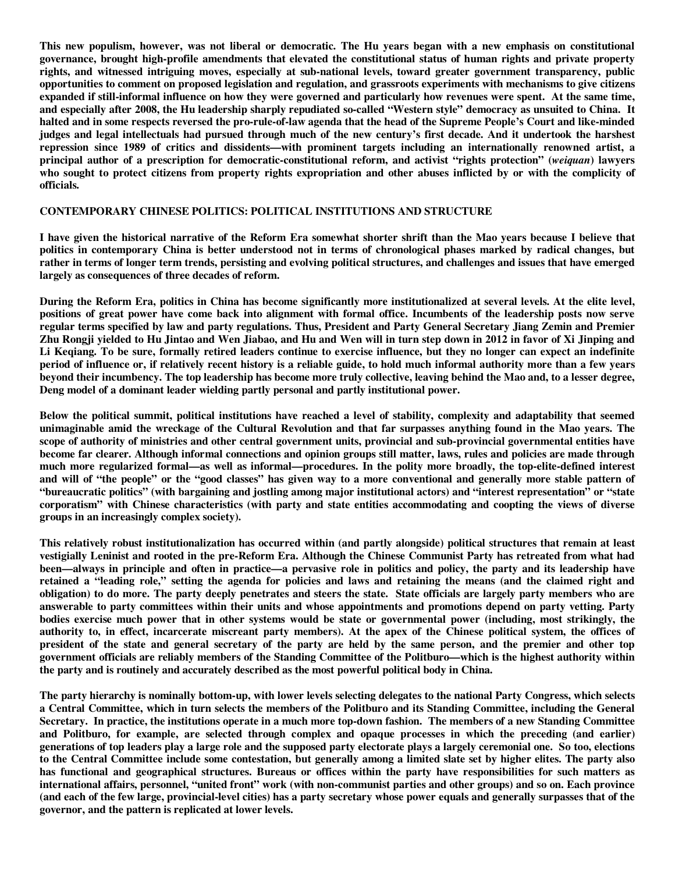**This new populism, however, was not liberal or democratic. The Hu years began with a new emphasis on constitutional governance, brought high-profile amendments that elevated the constitutional status of human rights and private property rights, and witnessed intriguing moves, especially at sub-national levels, toward greater government transparency, public opportunities to comment on proposed legislation and regulation, and grassroots experiments with mechanisms to give citizens expanded if still-informal influence on how they were governed and particularly how revenues were spent. At the same time, and especially after 2008, the Hu leadership sharply repudiated so-called "Western style" democracy as unsuited to China. It halted and in some respects reversed the pro-rule-of-law agenda that the head of the Supreme People's Court and like-minded judges and legal intellectuals had pursued through much of the new century's first decade. And it undertook the harshest repression since 1989 of critics and dissidents—with prominent targets including an internationally renowned artist, a principal author of a prescription for democratic-constitutional reform, and activist "rights protection" (***weiquan***) lawyers who sought to protect citizens from property rights expropriation and other abuses inflicted by or with the complicity of officials.** 

#### **CONTEMPORARY CHINESE POLITICS: POLITICAL INSTITUTIONS AND STRUCTURE**

**I have given the historical narrative of the Reform Era somewhat shorter shrift than the Mao years because I believe that politics in contemporary China is better understood not in terms of chronological phases marked by radical changes, but rather in terms of longer term trends, persisting and evolving political structures, and challenges and issues that have emerged largely as consequences of three decades of reform.** 

**During the Reform Era, politics in China has become significantly more institutionalized at several levels. At the elite level, positions of great power have come back into alignment with formal office. Incumbents of the leadership posts now serve regular terms specified by law and party regulations. Thus, President and Party General Secretary Jiang Zemin and Premier Zhu Rongji yielded to Hu Jintao and Wen Jiabao, and Hu and Wen will in turn step down in 2012 in favor of Xi Jinping and Li Keqiang. To be sure, formally retired leaders continue to exercise influence, but they no longer can expect an indefinite period of influence or, if relatively recent history is a reliable guide, to hold much informal authority more than a few years beyond their incumbency. The top leadership has become more truly collective, leaving behind the Mao and, to a lesser degree, Deng model of a dominant leader wielding partly personal and partly institutional power.** 

**Below the political summit, political institutions have reached a level of stability, complexity and adaptability that seemed unimaginable amid the wreckage of the Cultural Revolution and that far surpasses anything found in the Mao years. The scope of authority of ministries and other central government units, provincial and sub-provincial governmental entities have become far clearer. Although informal connections and opinion groups still matter, laws, rules and policies are made through much more regularized formal—as well as informal—procedures. In the polity more broadly, the top-elite-defined interest and will of "the people" or the "good classes" has given way to a more conventional and generally more stable pattern of "bureaucratic politics" (with bargaining and jostling among major institutional actors) and "interest representation" or "state corporatism" with Chinese characteristics (with party and state entities accommodating and coopting the views of diverse groups in an increasingly complex society).** 

**This relatively robust institutionalization has occurred within (and partly alongside) political structures that remain at least vestigially Leninist and rooted in the pre-Reform Era. Although the Chinese Communist Party has retreated from what had been—always in principle and often in practice—a pervasive role in politics and policy, the party and its leadership have retained a "leading role," setting the agenda for policies and laws and retaining the means (and the claimed right and obligation) to do more. The party deeply penetrates and steers the state. State officials are largely party members who are answerable to party committees within their units and whose appointments and promotions depend on party vetting. Party bodies exercise much power that in other systems would be state or governmental power (including, most strikingly, the authority to, in effect, incarcerate miscreant party members). At the apex of the Chinese political system, the offices of president of the state and general secretary of the party are held by the same person, and the premier and other top government officials are reliably members of the Standing Committee of the Politburo—which is the highest authority within the party and is routinely and accurately described as the most powerful political body in China.** 

**The party hierarchy is nominally bottom-up, with lower levels selecting delegates to the national Party Congress, which selects a Central Committee, which in turn selects the members of the Politburo and its Standing Committee, including the General Secretary. In practice, the institutions operate in a much more top-down fashion. The members of a new Standing Committee and Politburo, for example, are selected through complex and opaque processes in which the preceding (and earlier) generations of top leaders play a large role and the supposed party electorate plays a largely ceremonial one. So too, elections to the Central Committee include some contestation, but generally among a limited slate set by higher elites. The party also has functional and geographical structures. Bureaus or offices within the party have responsibilities for such matters as international affairs, personnel, "united front" work (with non-communist parties and other groups) and so on. Each province (and each of the few large, provincial-level cities) has a party secretary whose power equals and generally surpasses that of the governor, and the pattern is replicated at lower levels.**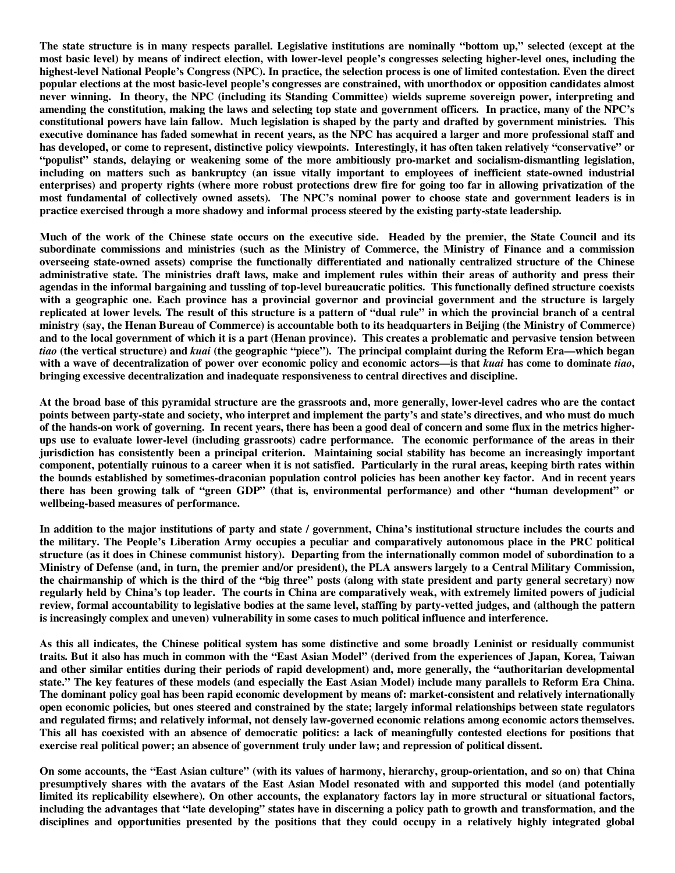**The state structure is in many respects parallel. Legislative institutions are nominally "bottom up," selected (except at the most basic level) by means of indirect election, with lower-level people's congresses selecting higher-level ones, including the highest-level National People's Congress (NPC). In practice, the selection process is one of limited contestation. Even the direct popular elections at the most basic-level people's congresses are constrained, with unorthodox or opposition candidates almost never winning. In theory, the NPC (including its Standing Committee) wields supreme sovereign power, interpreting and amending the constitution, making the laws and selecting top state and government officers. In practice, many of the NPC's constitutional powers have lain fallow. Much legislation is shaped by the party and drafted by government ministries. This executive dominance has faded somewhat in recent years, as the NPC has acquired a larger and more professional staff and has developed, or come to represent, distinctive policy viewpoints. Interestingly, it has often taken relatively "conservative" or "populist" stands, delaying or weakening some of the more ambitiously pro-market and socialism-dismantling legislation, including on matters such as bankruptcy (an issue vitally important to employees of inefficient state-owned industrial enterprises) and property rights (where more robust protections drew fire for going too far in allowing privatization of the most fundamental of collectively owned assets). The NPC's nominal power to choose state and government leaders is in practice exercised through a more shadowy and informal process steered by the existing party-state leadership.** 

**Much of the work of the Chinese state occurs on the executive side. Headed by the premier, the State Council and its subordinate commissions and ministries (such as the Ministry of Commerce, the Ministry of Finance and a commission overseeing state-owned assets) comprise the functionally differentiated and nationally centralized structure of the Chinese administrative state. The ministries draft laws, make and implement rules within their areas of authority and press their agendas in the informal bargaining and tussling of top-level bureaucratic politics. This functionally defined structure coexists with a geographic one. Each province has a provincial governor and provincial government and the structure is largely replicated at lower levels. The result of this structure is a pattern of "dual rule" in which the provincial branch of a central ministry (say, the Henan Bureau of Commerce) is accountable both to its headquarters in Beijing (the Ministry of Commerce) and to the local government of which it is a part (Henan province). This creates a problematic and pervasive tension between**  *tiao* **(the vertical structure) and** *kuai* **(the geographic "piece"). The principal complaint during the Reform Era—which began with a wave of decentralization of power over economic policy and economic actors—is that** *kuai* **has come to dominate** *tiao***, bringing excessive decentralization and inadequate responsiveness to central directives and discipline.** 

**At the broad base of this pyramidal structure are the grassroots and, more generally, lower-level cadres who are the contact points between party-state and society, who interpret and implement the party's and state's directives, and who must do much of the hands-on work of governing. In recent years, there has been a good deal of concern and some flux in the metrics higherups use to evaluate lower-level (including grassroots) cadre performance. The economic performance of the areas in their jurisdiction has consistently been a principal criterion. Maintaining social stability has become an increasingly important component, potentially ruinous to a career when it is not satisfied. Particularly in the rural areas, keeping birth rates within the bounds established by sometimes-draconian population control policies has been another key factor. And in recent years there has been growing talk of "green GDP" (that is, environmental performance) and other "human development" or wellbeing-based measures of performance.** 

**In addition to the major institutions of party and state / government, China's institutional structure includes the courts and the military. The People's Liberation Army occupies a peculiar and comparatively autonomous place in the PRC political structure (as it does in Chinese communist history). Departing from the internationally common model of subordination to a Ministry of Defense (and, in turn, the premier and/or president), the PLA answers largely to a Central Military Commission, the chairmanship of which is the third of the "big three" posts (along with state president and party general secretary) now regularly held by China's top leader. The courts in China are comparatively weak, with extremely limited powers of judicial review, formal accountability to legislative bodies at the same level, staffing by party-vetted judges, and (although the pattern is increasingly complex and uneven) vulnerability in some cases to much political influence and interference.** 

**As this all indicates, the Chinese political system has some distinctive and some broadly Leninist or residually communist traits. But it also has much in common with the "East Asian Model" (derived from the experiences of Japan, Korea, Taiwan and other similar entities during their periods of rapid development) and, more generally, the "authoritarian developmental state." The key features of these models (and especially the East Asian Model) include many parallels to Reform Era China. The dominant policy goal has been rapid economic development by means of: market-consistent and relatively internationally open economic policies, but ones steered and constrained by the state; largely informal relationships between state regulators and regulated firms; and relatively informal, not densely law-governed economic relations among economic actors themselves. This all has coexisted with an absence of democratic politics: a lack of meaningfully contested elections for positions that exercise real political power; an absence of government truly under law; and repression of political dissent.** 

**On some accounts, the "East Asian culture" (with its values of harmony, hierarchy, group-orientation, and so on) that China presumptively shares with the avatars of the East Asian Model resonated with and supported this model (and potentially limited its replicability elsewhere). On other accounts, the explanatory factors lay in more structural or situational factors, including the advantages that "late developing" states have in discerning a policy path to growth and transformation, and the disciplines and opportunities presented by the positions that they could occupy in a relatively highly integrated global**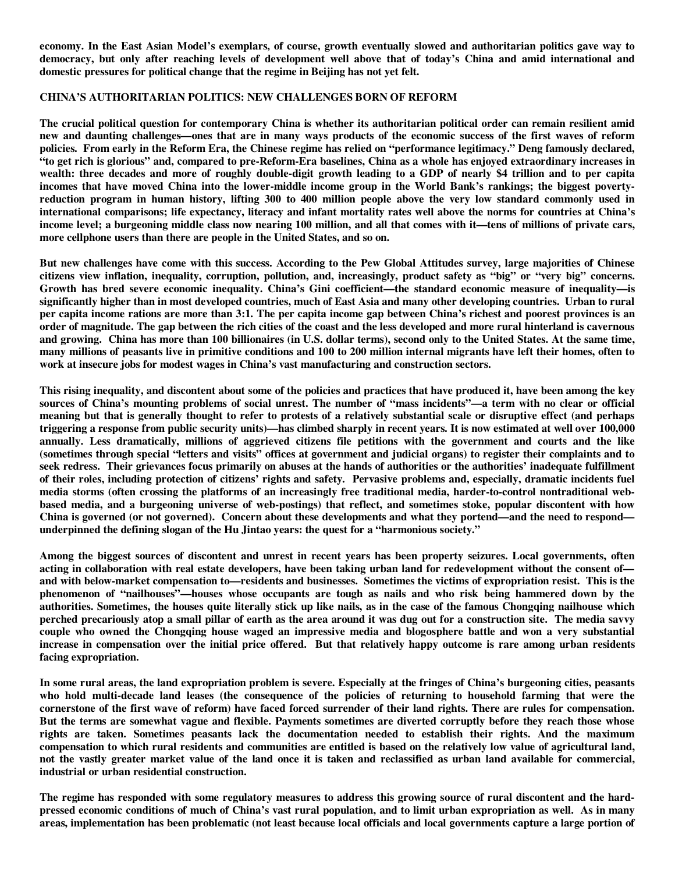**economy. In the East Asian Model's exemplars, of course, growth eventually slowed and authoritarian politics gave way to democracy, but only after reaching levels of development well above that of today's China and amid international and domestic pressures for political change that the regime in Beijing has not yet felt.** 

#### **CHINA'S AUTHORITARIAN POLITICS: NEW CHALLENGES BORN OF REFORM**

**The crucial political question for contemporary China is whether its authoritarian political order can remain resilient amid new and daunting challenges—ones that are in many ways products of the economic success of the first waves of reform policies. From early in the Reform Era, the Chinese regime has relied on "performance legitimacy." Deng famously declared, "to get rich is glorious" and, compared to pre-Reform-Era baselines, China as a whole has enjoyed extraordinary increases in wealth: three decades and more of roughly double-digit growth leading to a GDP of nearly \$4 trillion and to per capita incomes that have moved China into the lower-middle income group in the World Bank's rankings; the biggest povertyreduction program in human history, lifting 300 to 400 million people above the very low standard commonly used in international comparisons; life expectancy, literacy and infant mortality rates well above the norms for countries at China's income level; a burgeoning middle class now nearing 100 million, and all that comes with it—tens of millions of private cars, more cellphone users than there are people in the United States, and so on.** 

**But new challenges have come with this success. According to the Pew Global Attitudes survey, large majorities of Chinese citizens view inflation, inequality, corruption, pollution, and, increasingly, product safety as "big" or "very big" concerns. Growth has bred severe economic inequality. China's Gini coefficient—the standard economic measure of inequality—is significantly higher than in most developed countries, much of East Asia and many other developing countries. Urban to rural per capita income rations are more than 3:1. The per capita income gap between China's richest and poorest provinces is an order of magnitude. The gap between the rich cities of the coast and the less developed and more rural hinterland is cavernous and growing. China has more than 100 billionaires (in U.S. dollar terms), second only to the United States. At the same time, many millions of peasants live in primitive conditions and 100 to 200 million internal migrants have left their homes, often to work at insecure jobs for modest wages in China's vast manufacturing and construction sectors.** 

**This rising inequality, and discontent about some of the policies and practices that have produced it, have been among the key sources of China's mounting problems of social unrest. The number of "mass incidents"—a term with no clear or official meaning but that is generally thought to refer to protests of a relatively substantial scale or disruptive effect (and perhaps triggering a response from public security units)—has climbed sharply in recent years. It is now estimated at well over 100,000 annually. Less dramatically, millions of aggrieved citizens file petitions with the government and courts and the like (sometimes through special "letters and visits" offices at government and judicial organs) to register their complaints and to seek redress. Their grievances focus primarily on abuses at the hands of authorities or the authorities' inadequate fulfillment of their roles, including protection of citizens' rights and safety. Pervasive problems and, especially, dramatic incidents fuel media storms (often crossing the platforms of an increasingly free traditional media, harder-to-control nontraditional webbased media, and a burgeoning universe of web-postings) that reflect, and sometimes stoke, popular discontent with how China is governed (or not governed). Concern about these developments and what they portend—and the need to respond underpinned the defining slogan of the Hu Jintao years: the quest for a "harmonious society."** 

**Among the biggest sources of discontent and unrest in recent years has been property seizures. Local governments, often acting in collaboration with real estate developers, have been taking urban land for redevelopment without the consent of and with below-market compensation to—residents and businesses. Sometimes the victims of expropriation resist. This is the phenomenon of "nailhouses"—houses whose occupants are tough as nails and who risk being hammered down by the authorities. Sometimes, the houses quite literally stick up like nails, as in the case of the famous Chongqing nailhouse which perched precariously atop a small pillar of earth as the area around it was dug out for a construction site. The media savvy couple who owned the Chongqing house waged an impressive media and blogosphere battle and won a very substantial increase in compensation over the initial price offered. But that relatively happy outcome is rare among urban residents facing expropriation.** 

**In some rural areas, the land expropriation problem is severe. Especially at the fringes of China's burgeoning cities, peasants who hold multi-decade land leases (the consequence of the policies of returning to household farming that were the cornerstone of the first wave of reform) have faced forced surrender of their land rights. There are rules for compensation. But the terms are somewhat vague and flexible. Payments sometimes are diverted corruptly before they reach those whose rights are taken. Sometimes peasants lack the documentation needed to establish their rights. And the maximum compensation to which rural residents and communities are entitled is based on the relatively low value of agricultural land, not the vastly greater market value of the land once it is taken and reclassified as urban land available for commercial, industrial or urban residential construction.** 

**The regime has responded with some regulatory measures to address this growing source of rural discontent and the hardpressed economic conditions of much of China's vast rural population, and to limit urban expropriation as well. As in many areas, implementation has been problematic (not least because local officials and local governments capture a large portion of**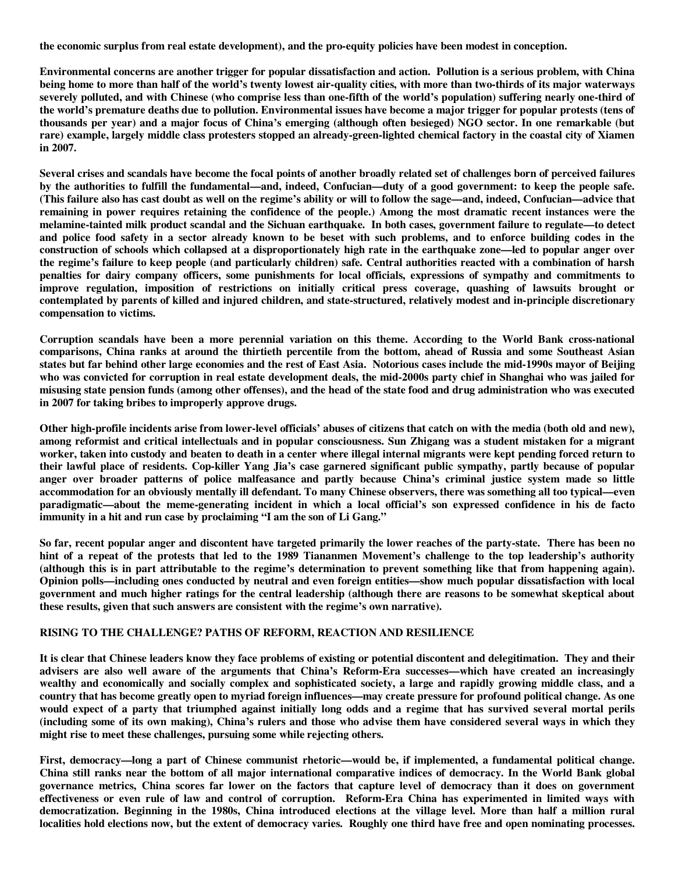**the economic surplus from real estate development), and the pro-equity policies have been modest in conception.** 

**Environmental concerns are another trigger for popular dissatisfaction and action. Pollution is a serious problem, with China being home to more than half of the world's twenty lowest air-quality cities, with more than two-thirds of its major waterways severely polluted, and with Chinese (who comprise less than one-fifth of the world's population) suffering nearly one-third of the world's premature deaths due to pollution. Environmental issues have become a major trigger for popular protests (tens of thousands per year) and a major focus of China's emerging (although often besieged) NGO sector. In one remarkable (but rare) example, largely middle class protesters stopped an already-green-lighted chemical factory in the coastal city of Xiamen in 2007.** 

**Several crises and scandals have become the focal points of another broadly related set of challenges born of perceived failures by the authorities to fulfill the fundamental—and, indeed, Confucian—duty of a good government: to keep the people safe. (This failure also has cast doubt as well on the regime's ability or will to follow the sage—and, indeed, Confucian—advice that remaining in power requires retaining the confidence of the people.) Among the most dramatic recent instances were the melamine-tainted milk product scandal and the Sichuan earthquake. In both cases, government failure to regulate—to detect and police food safety in a sector already known to be beset with such problems, and to enforce building codes in the construction of schools which collapsed at a disproportionately high rate in the earthquake zone—led to popular anger over the regime's failure to keep people (and particularly children) safe. Central authorities reacted with a combination of harsh penalties for dairy company officers, some punishments for local officials, expressions of sympathy and commitments to improve regulation, imposition of restrictions on initially critical press coverage, quashing of lawsuits brought or contemplated by parents of killed and injured children, and state-structured, relatively modest and in-principle discretionary compensation to victims.** 

**Corruption scandals have been a more perennial variation on this theme. According to the World Bank cross-national comparisons, China ranks at around the thirtieth percentile from the bottom, ahead of Russia and some Southeast Asian states but far behind other large economies and the rest of East Asia. Notorious cases include the mid-1990s mayor of Beijing who was convicted for corruption in real estate development deals, the mid-2000s party chief in Shanghai who was jailed for misusing state pension funds (among other offenses), and the head of the state food and drug administration who was executed in 2007 for taking bribes to improperly approve drugs.** 

**Other high-profile incidents arise from lower-level officials' abuses of citizens that catch on with the media (both old and new), among reformist and critical intellectuals and in popular consciousness. Sun Zhigang was a student mistaken for a migrant worker, taken into custody and beaten to death in a center where illegal internal migrants were kept pending forced return to their lawful place of residents. Cop-killer Yang Jia's case garnered significant public sympathy, partly because of popular anger over broader patterns of police malfeasance and partly because China's criminal justice system made so little accommodation for an obviously mentally ill defendant. To many Chinese observers, there was something all too typical—even paradigmatic—about the meme-generating incident in which a local official's son expressed confidence in his de facto immunity in a hit and run case by proclaiming "I am the son of Li Gang."** 

**So far, recent popular anger and discontent have targeted primarily the lower reaches of the party-state. There has been no hint of a repeat of the protests that led to the 1989 Tiananmen Movement's challenge to the top leadership's authority (although this is in part attributable to the regime's determination to prevent something like that from happening again). Opinion polls—including ones conducted by neutral and even foreign entities—show much popular dissatisfaction with local government and much higher ratings for the central leadership (although there are reasons to be somewhat skeptical about these results, given that such answers are consistent with the regime's own narrative).** 

#### **RISING TO THE CHALLENGE? PATHS OF REFORM, REACTION AND RESILIENCE**

**It is clear that Chinese leaders know they face problems of existing or potential discontent and delegitimation. They and their advisers are also well aware of the arguments that China's Reform-Era successes—which have created an increasingly wealthy and economically and socially complex and sophisticated society, a large and rapidly growing middle class, and a country that has become greatly open to myriad foreign influences—may create pressure for profound political change. As one would expect of a party that triumphed against initially long odds and a regime that has survived several mortal perils (including some of its own making), China's rulers and those who advise them have considered several ways in which they might rise to meet these challenges, pursuing some while rejecting others.** 

**First, democracy—long a part of Chinese communist rhetoric—would be, if implemented, a fundamental political change. China still ranks near the bottom of all major international comparative indices of democracy. In the World Bank global governance metrics, China scores far lower on the factors that capture level of democracy than it does on government effectiveness or even rule of law and control of corruption. Reform-Era China has experimented in limited ways with democratization. Beginning in the 1980s, China introduced elections at the village level. More than half a million rural localities hold elections now, but the extent of democracy varies. Roughly one third have free and open nominating processes.**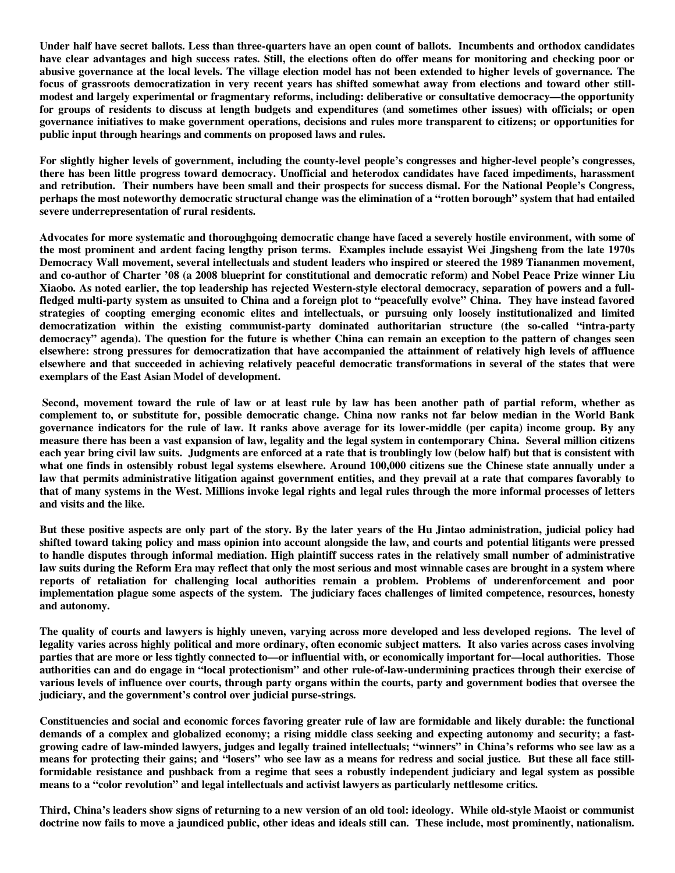**Under half have secret ballots. Less than three-quarters have an open count of ballots. Incumbents and orthodox candidates have clear advantages and high success rates. Still, the elections often do offer means for monitoring and checking poor or abusive governance at the local levels. The village election model has not been extended to higher levels of governance. The focus of grassroots democratization in very recent years has shifted somewhat away from elections and toward other stillmodest and largely experimental or fragmentary reforms, including: deliberative or consultative democracy—the opportunity for groups of residents to discuss at length budgets and expenditures (and sometimes other issues) with officials; or open governance initiatives to make government operations, decisions and rules more transparent to citizens; or opportunities for public input through hearings and comments on proposed laws and rules.** 

**For slightly higher levels of government, including the county-level people's congresses and higher-level people's congresses, there has been little progress toward democracy. Unofficial and heterodox candidates have faced impediments, harassment and retribution. Their numbers have been small and their prospects for success dismal. For the National People's Congress, perhaps the most noteworthy democratic structural change was the elimination of a "rotten borough" system that had entailed severe underrepresentation of rural residents.** 

**Advocates for more systematic and thoroughgoing democratic change have faced a severely hostile environment, with some of the most prominent and ardent facing lengthy prison terms. Examples include essayist Wei Jingsheng from the late 1970s Democracy Wall movement, several intellectuals and student leaders who inspired or steered the 1989 Tiananmen movement, and co-author of Charter '08 (a 2008 blueprint for constitutional and democratic reform) and Nobel Peace Prize winner Liu Xiaobo. As noted earlier, the top leadership has rejected Western-style electoral democracy, separation of powers and a fullfledged multi-party system as unsuited to China and a foreign plot to "peacefully evolve" China. They have instead favored strategies of coopting emerging economic elites and intellectuals, or pursuing only loosely institutionalized and limited democratization within the existing communist-party dominated authoritarian structure (the so-called "intra-party democracy" agenda). The question for the future is whether China can remain an exception to the pattern of changes seen elsewhere: strong pressures for democratization that have accompanied the attainment of relatively high levels of affluence elsewhere and that succeeded in achieving relatively peaceful democratic transformations in several of the states that were exemplars of the East Asian Model of development.** 

 **Second, movement toward the rule of law or at least rule by law has been another path of partial reform, whether as complement to, or substitute for, possible democratic change. China now ranks not far below median in the World Bank governance indicators for the rule of law. It ranks above average for its lower-middle (per capita) income group. By any measure there has been a vast expansion of law, legality and the legal system in contemporary China. Several million citizens each year bring civil law suits. Judgments are enforced at a rate that is troublingly low (below half) but that is consistent with what one finds in ostensibly robust legal systems elsewhere. Around 100,000 citizens sue the Chinese state annually under a law that permits administrative litigation against government entities, and they prevail at a rate that compares favorably to that of many systems in the West. Millions invoke legal rights and legal rules through the more informal processes of letters and visits and the like.** 

**But these positive aspects are only part of the story. By the later years of the Hu Jintao administration, judicial policy had shifted toward taking policy and mass opinion into account alongside the law, and courts and potential litigants were pressed to handle disputes through informal mediation. High plaintiff success rates in the relatively small number of administrative law suits during the Reform Era may reflect that only the most serious and most winnable cases are brought in a system where reports of retaliation for challenging local authorities remain a problem. Problems of underenforcement and poor implementation plague some aspects of the system. The judiciary faces challenges of limited competence, resources, honesty and autonomy.** 

**The quality of courts and lawyers is highly uneven, varying across more developed and less developed regions. The level of legality varies across highly political and more ordinary, often economic subject matters. It also varies across cases involving parties that are more or less tightly connected to—or influential with, or economically important for—local authorities. Those authorities can and do engage in "local protectionism" and other rule-of-law-undermining practices through their exercise of various levels of influence over courts, through party organs within the courts, party and government bodies that oversee the judiciary, and the government's control over judicial purse-strings.** 

**Constituencies and social and economic forces favoring greater rule of law are formidable and likely durable: the functional demands of a complex and globalized economy; a rising middle class seeking and expecting autonomy and security; a fastgrowing cadre of law-minded lawyers, judges and legally trained intellectuals; "winners" in China's reforms who see law as a means for protecting their gains; and "losers" who see law as a means for redress and social justice. But these all face stillformidable resistance and pushback from a regime that sees a robustly independent judiciary and legal system as possible means to a "color revolution" and legal intellectuals and activist lawyers as particularly nettlesome critics.** 

**Third, China's leaders show signs of returning to a new version of an old tool: ideology. While old-style Maoist or communist doctrine now fails to move a jaundiced public, other ideas and ideals still can. These include, most prominently, nationalism.**